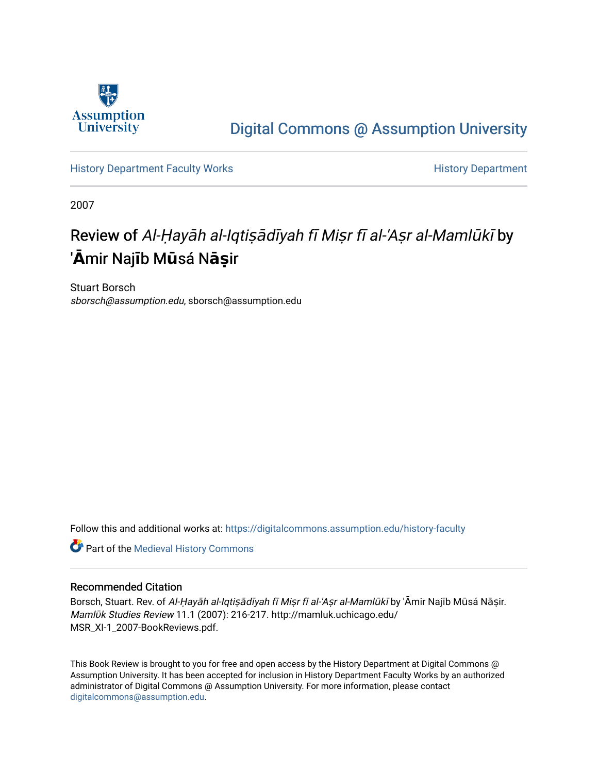

## [Digital Commons @ Assumption University](https://digitalcommons.assumption.edu/)

[History Department Faculty Works](https://digitalcommons.assumption.edu/history-faculty) **History Department** 

2007

# Review of Al-Ḥayāh al-Iqtiṣādīyah fī Miṣr fī al-'Aṣr al-Mamlūkī by '**Ā**mir Naj mir Naj**ī**b M**ū**sá N**āṣ**ir

Stuart Borsch sborsch@assumption.edu, sborsch@assumption.edu

Follow this and additional works at: [https://digitalcommons.assumption.edu/history-faculty](https://digitalcommons.assumption.edu/history-faculty?utm_source=digitalcommons.assumption.edu%2Fhistory-faculty%2F4&utm_medium=PDF&utm_campaign=PDFCoverPages) 

**Part of the [Medieval History Commons](http://network.bepress.com/hgg/discipline/503?utm_source=digitalcommons.assumption.edu%2Fhistory-faculty%2F4&utm_medium=PDF&utm_campaign=PDFCoverPages)** 

### Recommended Citation

Borsch, Stuart. Rev. of Al-Ḥayāh al-Iqtiṣādīyah fī Miṣr fī al-'Aṣr al-Mamlūkī by 'Āmir Najīb Mūsá Nāṣir. Mamlūk Studies Review 11.1 (2007): 216-217. http://mamluk.uchicago.edu/ MSR\_XI-1\_2007-BookReviews.pdf.

This Book Review is brought to you for free and open access by the History Department at Digital Commons @ Assumption University. It has been accepted for inclusion in History Department Faculty Works by an authorized administrator of Digital Commons @ Assumption University. For more information, please contact [digitalcommons@assumption.edu](mailto:digitalcommons@assumption.edu).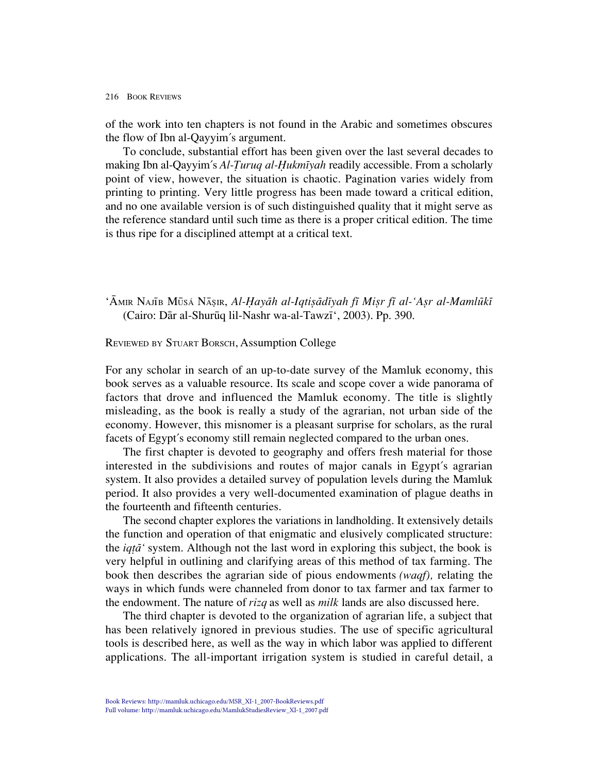#### 216 BOOK REVIEWS

of the work into ten chapters is not found in the Arabic and sometimes obscures the flow of Ibn al-Qayyim's argument.

To conclude, substantial effort has been given over the last several decades to making Ibn al-Qayyim's *Al-Turuq al-Hukmiyah* readily accessible. From a scholarly point of view, however, the situation is chaotic. Pagination varies widely from printing to printing. Very little progress has been made toward a critical edition, and no one available version is of such distinguished quality that it might serve as the reference standard until such time as there is a proper critical edition. The time is thus ripe for a disciplined attempt at a critical text.

'ĀMIR NAJĪB MŪSÁ NĀŞIR, *Al-Hayāh al-Iqtisādīyah fī Misr fī al-'Asr al-Mamlūkī* (Cairo: Dār al-Shurūq lil-Nashr wa-al-Tawzī', 2003). Pp. 390.

#### REVIEWED BY STUART BORSCH, Assumption College

For any scholar in search of an up-to-date survey of the Mamluk economy, this book serves as a valuable resource. Its scale and scope cover a wide panorama of factors that drove and influenced the Mamluk economy. The title is slightly misleading, as the book is really a study of the agrarian, not urban side of the economy. However, this misnomer is a pleasant surprise for scholars, as the rural facets of Egypt's economy still remain neglected compared to the urban ones.

The first chapter is devoted to geography and offers fresh material for those interested in the subdivisions and routes of major canals in Egypt's agrarian system. It also provides a detailed survey of population levels during the Mamluk period. It also provides a very well-documented examination of plague deaths in the fourteenth and fifteenth centuries.

The second chapter explores the variations in landholding. It extensively details the function and operation of that enigmatic and elusively complicated structure: the *iqt* $\bar{a}$ <sup>*'*</sup> system. Although not the last word in exploring this subject, the book is very helpful in outlining and clarifying areas of this method of tax farming. The book then describes the agrarian side of pious endowments *(waqf),* relating the ways in which funds were channeled from donor to tax farmer and tax farmer to the endowment. The nature of *rizq* as well as *milk* lands are also discussed here.

The third chapter is devoted to the organization of agrarian life, a subject that has been relatively ignored in previous studies. The use of specific agricultural tools is described here, as well as the way in which labor was applied to different applications. The all-important irrigation system is studied in careful detail, a